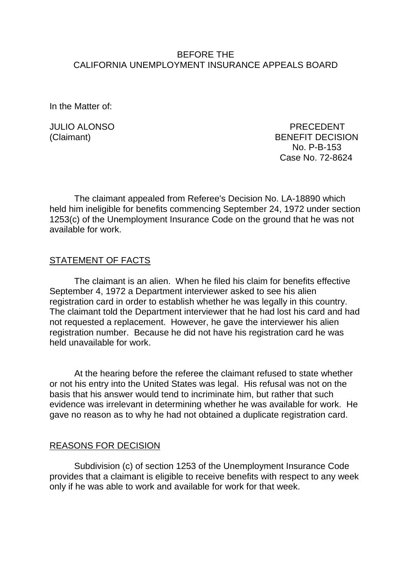### BEFORE THE CALIFORNIA UNEMPLOYMENT INSURANCE APPEALS BOARD

In the Matter of:

JULIO ALONSO PRECEDENT (Claimant) BENEFIT DECISION No. P-B-153 Case No. 72-8624

The claimant appealed from Referee's Decision No. LA-18890 which held him ineligible for benefits commencing September 24, 1972 under section 1253(c) of the Unemployment Insurance Code on the ground that he was not available for work.

## STATEMENT OF FACTS

The claimant is an alien. When he filed his claim for benefits effective September 4, 1972 a Department interviewer asked to see his alien registration card in order to establish whether he was legally in this country. The claimant told the Department interviewer that he had lost his card and had not requested a replacement. However, he gave the interviewer his alien registration number. Because he did not have his registration card he was held unavailable for work.

At the hearing before the referee the claimant refused to state whether or not his entry into the United States was legal. His refusal was not on the basis that his answer would tend to incriminate him, but rather that such evidence was irrelevant in determining whether he was available for work. He gave no reason as to why he had not obtained a duplicate registration card.

#### REASONS FOR DECISION

Subdivision (c) of section 1253 of the Unemployment Insurance Code provides that a claimant is eligible to receive benefits with respect to any week only if he was able to work and available for work for that week.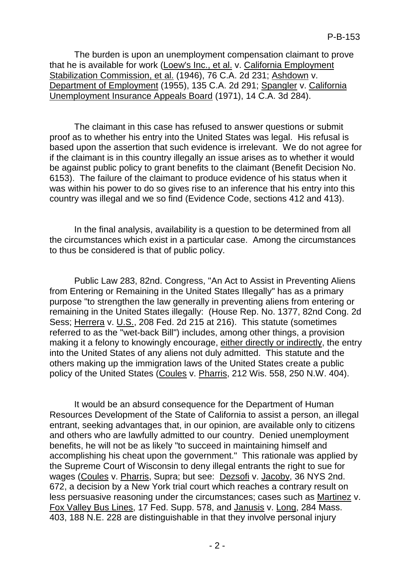The burden is upon an unemployment compensation claimant to prove that he is available for work (Loew's Inc., et al. v. California Employment Stabilization Commission, et al. (1946), 76 C.A. 2d 231; Ashdown v. Department of Employment (1955), 135 C.A. 2d 291; Spangler v. California Unemployment Insurance Appeals Board (1971), 14 C.A. 3d 284).

The claimant in this case has refused to answer questions or submit proof as to whether his entry into the United States was legal. His refusal is based upon the assertion that such evidence is irrelevant. We do not agree for if the claimant is in this country illegally an issue arises as to whether it would be against public policy to grant benefits to the claimant (Benefit Decision No. 6153). The failure of the claimant to produce evidence of his status when it was within his power to do so gives rise to an inference that his entry into this country was illegal and we so find (Evidence Code, sections 412 and 413).

In the final analysis, availability is a question to be determined from all the circumstances which exist in a particular case. Among the circumstances to thus be considered is that of public policy.

Public Law 283, 82nd. Congress, "An Act to Assist in Preventing Aliens from Entering or Remaining in the United States Illegally" has as a primary purpose "to strengthen the law generally in preventing aliens from entering or remaining in the United States illegally: (House Rep. No. 1377, 82nd Cong. 2d Sess; Herrera v. U.S., 208 Fed. 2d 215 at 216). This statute (sometimes referred to as the "wet-back Bill") includes, among other things, a provision making it a felony to knowingly encourage, either directly or indirectly, the entry into the United States of any aliens not duly admitted. This statute and the others making up the immigration laws of the United States create a public policy of the United States (Coules v. Pharris, 212 Wis. 558, 250 N.W. 404).

It would be an absurd consequence for the Department of Human Resources Development of the State of California to assist a person, an illegal entrant, seeking advantages that, in our opinion, are available only to citizens and others who are lawfully admitted to our country. Denied unemployment benefits, he will not be as likely "to succeed in maintaining himself and accomplishing his cheat upon the government." This rationale was applied by the Supreme Court of Wisconsin to deny illegal entrants the right to sue for wages (Coules v. Pharris, Supra; but see: Dezsofi v. Jacoby, 36 NYS 2nd. 672, a decision by a New York trial court which reaches a contrary result on less persuasive reasoning under the circumstances; cases such as Martinez v. Fox Valley Bus Lines, 17 Fed. Supp. 578, and Janusis v. Long, 284 Mass. 403, 188 N.E. 228 are distinguishable in that they involve personal injury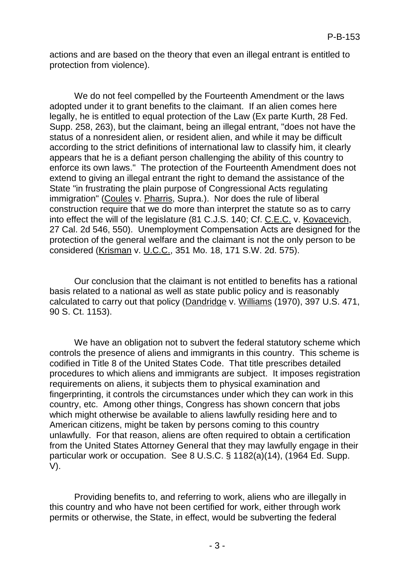actions and are based on the theory that even an illegal entrant is entitled to protection from violence).

We do not feel compelled by the Fourteenth Amendment or the laws adopted under it to grant benefits to the claimant. If an alien comes here legally, he is entitled to equal protection of the Law (Ex parte Kurth, 28 Fed. Supp. 258, 263), but the claimant, being an illegal entrant, "does not have the status of a nonresident alien, or resident alien, and while it may be difficult according to the strict definitions of international law to classify him, it clearly appears that he is a defiant person challenging the ability of this country to enforce its own laws." The protection of the Fourteenth Amendment does not extend to giving an illegal entrant the right to demand the assistance of the State "in frustrating the plain purpose of Congressional Acts regulating immigration" (Coules v. Pharris, Supra.). Nor does the rule of liberal construction require that we do more than interpret the statute so as to carry into effect the will of the legislature (81 C.J.S. 140; Cf. C.E.C. v. Kovacevich, 27 Cal. 2d 546, 550). Unemployment Compensation Acts are designed for the protection of the general welfare and the claimant is not the only person to be considered (Krisman v. U.C.C., 351 Mo. 18, 171 S.W. 2d. 575).

Our conclusion that the claimant is not entitled to benefits has a rational basis related to a national as well as state public policy and is reasonably calculated to carry out that policy (Dandridge v. Williams (1970), 397 U.S. 471, 90 S. Ct. 1153).

We have an obligation not to subvert the federal statutory scheme which controls the presence of aliens and immigrants in this country. This scheme is codified in Title 8 of the United States Code. That title prescribes detailed procedures to which aliens and immigrants are subject. It imposes registration requirements on aliens, it subjects them to physical examination and fingerprinting, it controls the circumstances under which they can work in this country, etc. Among other things, Congress has shown concern that jobs which might otherwise be available to aliens lawfully residing here and to American citizens, might be taken by persons coming to this country unlawfully. For that reason, aliens are often required to obtain a certification from the United States Attorney General that they may lawfully engage in their particular work or occupation. See 8 U.S.C. § 1182(a)(14), (1964 Ed. Supp. V).

Providing benefits to, and referring to work, aliens who are illegally in this country and who have not been certified for work, either through work permits or otherwise, the State, in effect, would be subverting the federal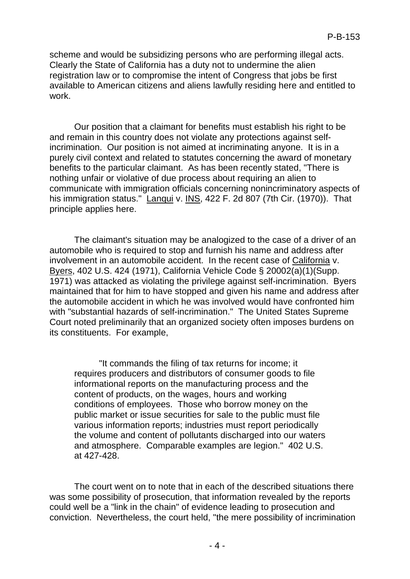scheme and would be subsidizing persons who are performing illegal acts. Clearly the State of California has a duty not to undermine the alien registration law or to compromise the intent of Congress that jobs be first available to American citizens and aliens lawfully residing here and entitled to work.

Our position that a claimant for benefits must establish his right to be and remain in this country does not violate any protections against selfincrimination. Our position is not aimed at incriminating anyone. It is in a purely civil context and related to statutes concerning the award of monetary benefits to the particular claimant. As has been recently stated, "There is nothing unfair or violative of due process about requiring an alien to communicate with immigration officials concerning nonincriminatory aspects of his immigration status." Lanqui v. INS, 422 F. 2d 807 (7th Cir. (1970)). That principle applies here.

The claimant's situation may be analogized to the case of a driver of an automobile who is required to stop and furnish his name and address after involvement in an automobile accident. In the recent case of California v. Byers, 402 U.S. 424 (1971), California Vehicle Code § 20002(a)(1)(Supp. 1971) was attacked as violating the privilege against self-incrimination. Byers maintained that for him to have stopped and given his name and address after the automobile accident in which he was involved would have confronted him with "substantial hazards of self-incrimination." The United States Supreme Court noted preliminarily that an organized society often imposes burdens on its constituents. For example,

"It commands the filing of tax returns for income; it requires producers and distributors of consumer goods to file informational reports on the manufacturing process and the content of products, on the wages, hours and working conditions of employees. Those who borrow money on the public market or issue securities for sale to the public must file various information reports; industries must report periodically the volume and content of pollutants discharged into our waters and atmosphere. Comparable examples are legion." 402 U.S. at 427-428.

The court went on to note that in each of the described situations there was some possibility of prosecution, that information revealed by the reports could well be a "link in the chain" of evidence leading to prosecution and conviction. Nevertheless, the court held, "the mere possibility of incrimination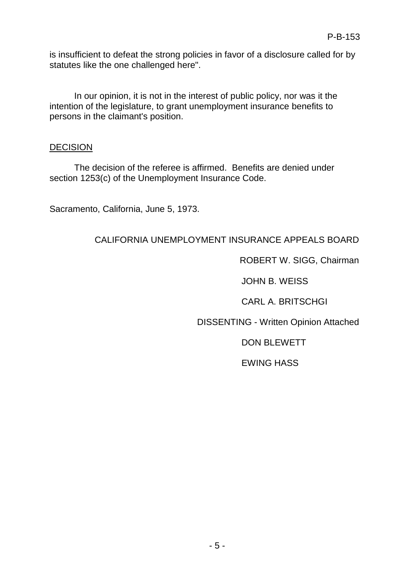is insufficient to defeat the strong policies in favor of a disclosure called for by statutes like the one challenged here".

In our opinion, it is not in the interest of public policy, nor was it the intention of the legislature, to grant unemployment insurance benefits to persons in the claimant's position.

## **DECISION**

The decision of the referee is affirmed. Benefits are denied under section 1253(c) of the Unemployment Insurance Code.

Sacramento, California, June 5, 1973.

# CALIFORNIA UNEMPLOYMENT INSURANCE APPEALS BOARD

ROBERT W. SIGG, Chairman

JOHN B. WEISS

CARL A. BRITSCHGI

DISSENTING - Written Opinion Attached

DON BLEWETT

EWING HASS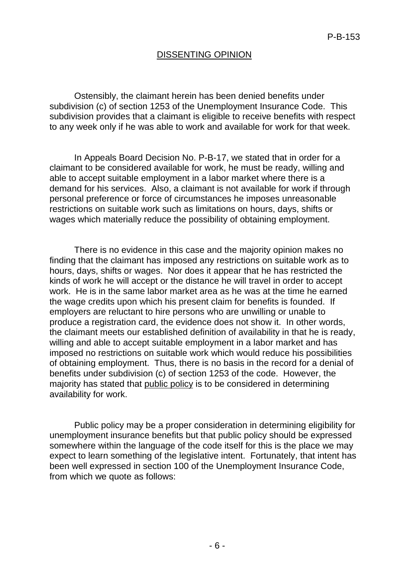## DISSENTING OPINION

Ostensibly, the claimant herein has been denied benefits under subdivision (c) of section 1253 of the Unemployment Insurance Code. This subdivision provides that a claimant is eligible to receive benefits with respect to any week only if he was able to work and available for work for that week.

In Appeals Board Decision No. P-B-17, we stated that in order for a claimant to be considered available for work, he must be ready, willing and able to accept suitable employment in a labor market where there is a demand for his services. Also, a claimant is not available for work if through personal preference or force of circumstances he imposes unreasonable restrictions on suitable work such as limitations on hours, days, shifts or wages which materially reduce the possibility of obtaining employment.

There is no evidence in this case and the majority opinion makes no finding that the claimant has imposed any restrictions on suitable work as to hours, days, shifts or wages. Nor does it appear that he has restricted the kinds of work he will accept or the distance he will travel in order to accept work. He is in the same labor market area as he was at the time he earned the wage credits upon which his present claim for benefits is founded. If employers are reluctant to hire persons who are unwilling or unable to produce a registration card, the evidence does not show it. In other words, the claimant meets our established definition of availability in that he is ready, willing and able to accept suitable employment in a labor market and has imposed no restrictions on suitable work which would reduce his possibilities of obtaining employment. Thus, there is no basis in the record for a denial of benefits under subdivision (c) of section 1253 of the code. However, the majority has stated that public policy is to be considered in determining availability for work.

Public policy may be a proper consideration in determining eligibility for unemployment insurance benefits but that public policy should be expressed somewhere within the language of the code itself for this is the place we may expect to learn something of the legislative intent. Fortunately, that intent has been well expressed in section 100 of the Unemployment Insurance Code, from which we quote as follows: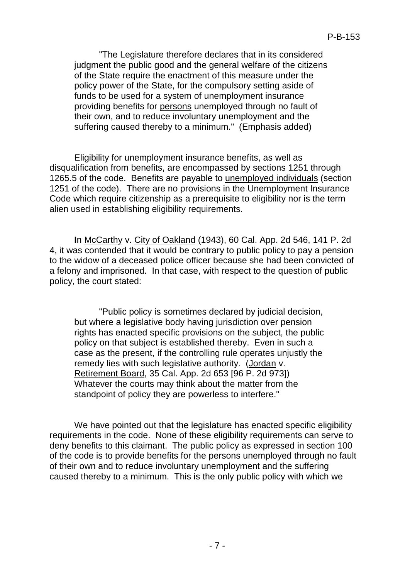"The Legislature therefore declares that in its considered judgment the public good and the general welfare of the citizens of the State require the enactment of this measure under the policy power of the State, for the compulsory setting aside of funds to be used for a system of unemployment insurance providing benefits for persons unemployed through no fault of their own, and to reduce involuntary unemployment and the suffering caused thereby to a minimum." (Emphasis added)

Eligibility for unemployment insurance benefits, as well as disqualification from benefits, are encompassed by sections 1251 through 1265.5 of the code. Benefits are payable to unemployed individuals (section 1251 of the code). There are no provisions in the Unemployment Insurance Code which require citizenship as a prerequisite to eligibility nor is the term alien used in establishing eligibility requirements.

**I**n McCarthy v. City of Oakland (1943), 60 Cal. App. 2d 546, 141 P. 2d 4, it was contended that it would be contrary to public policy to pay a pension to the widow of a deceased police officer because she had been convicted of a felony and imprisoned. In that case, with respect to the question of public policy, the court stated:

"Public policy is sometimes declared by judicial decision, but where a legislative body having jurisdiction over pension rights has enacted specific provisions on the subject, the public policy on that subject is established thereby. Even in such a case as the present, if the controlling rule operates unjustly the remedy lies with such legislative authority. (Jordan v. Retirement Board, 35 Cal. App. 2d 653 [96 P. 2d 973]) Whatever the courts may think about the matter from the standpoint of policy they are powerless to interfere."

We have pointed out that the legislature has enacted specific eligibility requirements in the code. None of these eligibility requirements can serve to deny benefits to this claimant. The public policy as expressed in section 100 of the code is to provide benefits for the persons unemployed through no fault of their own and to reduce involuntary unemployment and the suffering caused thereby to a minimum. This is the only public policy with which we